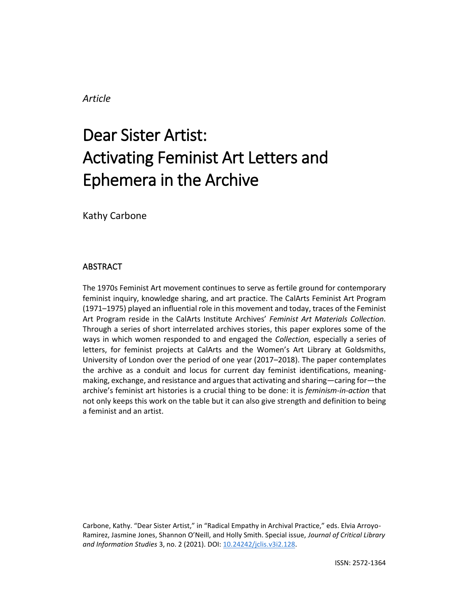# *Article*

# Dear Sister Artist: Activating Feminist Art Letters and Ephemera in the Archive

Kathy Carbone

## ABSTRACT

The 1970s Feminist Art movement continues to serve as fertile ground for contemporary feminist inquiry, knowledge sharing, and art practice. The CalArts Feminist Art Program (1971–1975) played an influential role in this movement and today, traces of the Feminist Art Program reside in the CalArts Institute Archives' *Feminist Art Materials Collection.*  Through a series of short interrelated archives stories, this paper explores some of the ways in which women responded to and engaged the *Collection,* especially a series of letters, for feminist projects at CalArts and the Women's Art Library at Goldsmiths, University of London over the period of one year (2017–2018). The paper contemplates the archive as a conduit and locus for current day feminist identifications, meaningmaking, exchange, and resistance and argues that activating and sharing—caring for—the archive's feminist art histories is a crucial thing to be done: it is *feminism-in-action* that not only keeps this work on the table but it can also give strength and definition to being a feminist and an artist.

Carbone, Kathy. "Dear Sister Artist," in "Radical Empathy in Archival Practice," eds. Elvia Arroyo-Ramirez, Jasmine Jones, Shannon O'Neill, and Holly Smith. Special issue, *Journal of Critical Library and Information Studies* 3, no. 2 (2021). DOI: [10.24242/jclis.v3i2.128.](https://doi.org/10.24242/jclis.v3i2.128)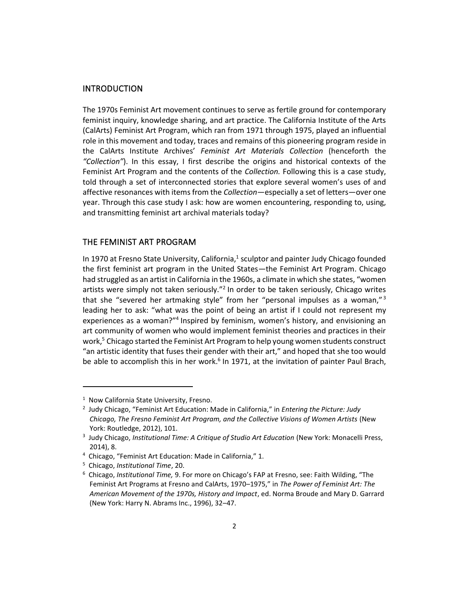#### INTRODUCTION

The 1970s Feminist Art movement continues to serve as fertile ground for contemporary feminist inquiry, knowledge sharing, and art practice. The California Institute of the Arts (CalArts) Feminist Art Program, which ran from 1971 through 1975, played an influential role in this movement and today, traces and remains of this pioneering program reside in the CalArts Institute Archives' *Feminist Art Materials Collection* (henceforth the *"Collection"*). In this essay, I first describe the origins and historical contexts of the Feminist Art Program and the contents of the *Collection.* Following this is a case study, told through a set of interconnected stories that explore several women's uses of and affective resonances with items from the *Collection*—especially a set of letters—over one year. Through this case study I ask: how are women encountering, responding to, using, and transmitting feminist art archival materials today?

#### THE FEMINIST ART PROGRAM

In 1970 at Fresno State University, California, $^1$  sculptor and painter Judy Chicago founded the first feminist art program in the United States—the Feminist Art Program. Chicago had struggled as an artist in California in the 1960s, a climate in which she states, "women artists were simply not taken seriously."<sup>2</sup> In order to be taken seriously, Chicago writes that she "severed her artmaking style" from her "personal impulses as a woman," $3$ leading her to ask: "what was the point of being an artist if I could not represent my experiences as a woman?"<sup>4</sup> Inspired by feminism, women's history, and envisioning an art community of women who would implement feminist theories and practices in their work,<sup>5</sup> Chicago started the Feminist Art Program to help young women students construct "an artistic identity that fuses their gender with their art," and hoped that she too would be able to accomplish this in her work.<sup>6</sup> In 1971, at the invitation of painter Paul Brach,

<sup>&</sup>lt;sup>1</sup> Now California State University, Fresno.

<sup>2</sup> Judy Chicago, "Feminist Art Education: Made in California," in *Entering the Picture: Judy Chicago, The Fresno Feminist Art Program, and the Collective Visions of Women Artists* (New York: Routledge, 2012), 101.

<sup>3</sup> Judy Chicago, *Institutional Time: A Critique of Studio Art Education* (New York: Monacelli Press, 2014), 8.

<sup>4</sup> Chicago, "Feminist Art Education: Made in California," 1.

<sup>5</sup> Chicago, *Institutional Time*, 20.

<sup>6</sup> Chicago, *Institutional Time,* 9. For more on Chicago's FAP at Fresno, see: Faith Wilding, "The Feminist Art Programs at Fresno and CalArts, 1970–1975," in *The Power of Feminist Art: The American Movement of the 1970s, History and Impact*, ed. Norma Broude and Mary D. Garrard (New York: Harry N. Abrams Inc., 1996), 32–47.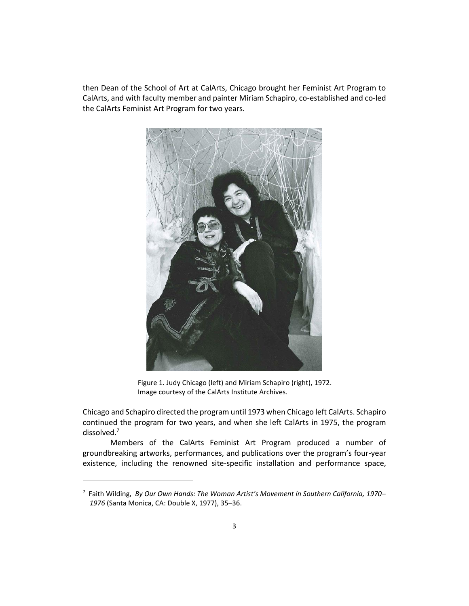then Dean of the School of Art at CalArts, Chicago brought her Feminist Art Program to CalArts, and with faculty member and painter Miriam Schapiro, co-established and co-led the CalArts Feminist Art Program for two years.



Figure 1. Judy Chicago (left) and Miriam Schapiro (right), 1972. Image courtesy of the CalArts Institute Archives.

Chicago and Schapiro directed the program until 1973 when Chicago left CalArts. Schapiro continued the program for two years, and when she left CalArts in 1975, the program dissolved.<sup>7</sup>

Members of the CalArts Feminist Art Program produced a number of groundbreaking artworks, performances, and publications over the program's four-year existence, including the renowned site-specific installation and performance space,

<sup>7</sup> Faith Wilding, *By Our Own Hands: The Woman Artist's Movement in Southern California, 1970*– *1976* (Santa Monica, CA: Double X, 1977), 35–36.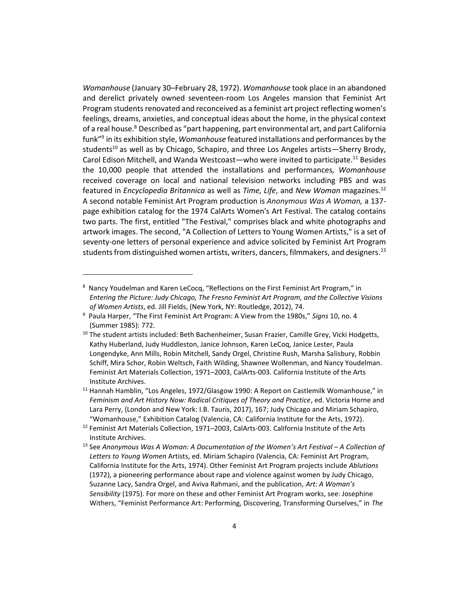*Womanhouse* (January 30–February 28, 1972). *Womanhouse* took place in an abandoned and derelict privately owned seventeen-room Los Angeles mansion that Feminist Art Program students renovated and reconceived as a feminist art project reflecting women's feelings, dreams, anxieties, and conceptual ideas about the home, in the physical context of a real house.<sup>8</sup> Described as "part happening, part environmental art, and part California funk"<sup>9</sup> in its exhibition style, *Womanhouse* featured installations and performances by the students<sup>10</sup> as well as by Chicago, Schapiro, and three Los Angeles artists—Sherry Brody, Carol Edison Mitchell, and Wanda Westcoast—who were invited to participate.<sup>11</sup> Besides the 10,000 people that attended the installations and performances*, Womanhouse* received coverage on local and national television networks including PBS and was featured in *Encyclopedia Britannica* as well as *Time, Life*, and *New Woman* magazines.<sup>12</sup> A second notable Feminist Art Program production is *Anonymous Was A Woman,* a 137 page exhibition catalog for the 1974 CalArts Women's Art Festival. The catalog contains two parts. The first, entitled "The Festival," comprises black and white photographs and artwork images. The second, "A Collection of Letters to Young Women Artists," is a set of seventy-one letters of personal experience and advice solicited by Feminist Art Program students from distinguished women artists, writers, dancers, filmmakers, and designers. 13

<sup>8</sup> Nancy Youdelman and Karen LeCocq, "Reflections on the First Feminist Art Program," in *Entering the Picture: Judy Chicago, The Fresno Feminist Art Program, and the Collective Visions of Women Artists*, ed. Jill Fields, (New York, NY: Routledge, 2012), 74.

<sup>9</sup> Paula Harper, "The First Feminist Art Program: A View from the 1980s," *Signs* 10, no. 4 (Summer 1985): 772.

<sup>&</sup>lt;sup>10</sup> The student artists included: Beth Bachenheimer, Susan Frazier, Camille Grey, Vicki Hodgetts, Kathy Huberland, Judy Huddleston, Janice Johnson, Karen LeCoq, Janice Lester, Paula Longendyke, Ann Mills, Robin Mitchell, Sandy Orgel, Christine Rush, Marsha Salisbury, Robbin Schiff, Mira Schor, Robin Weltsch, Faith Wilding, Shawnee Wollenman, and Nancy Youdelman. Feminist Art Materials Collection, 1971–2003, CalArts-003. California Institute of the Arts Institute Archives.

<sup>&</sup>lt;sup>11</sup> Hannah Hamblin, "Los Angeles, 1972/Glasgow 1990: A Report on Castlemilk Womanhouse," in *Feminism and Art History Now: Radical Critiques of Theory and Practice*, ed. Victoria Horne and Lara Perry, (London and New York: I.B. Tauris, 2017), 167; Judy Chicago and Miriam Schapiro, "Womanhouse," Exhibition Catalog (Valencia, CA: California Institute for the Arts, 1972).

 $12$  Feminist Art Materials Collection, 1971–2003, CalArts-003. California Institute of the Arts Institute Archives.

<sup>13</sup> See *Anonymous Was A Woman: A Documentation of the Women's Art Festival – A Collection of Letters to Young Women* Artists, ed. Miriam Schapiro (Valencia, CA: Feminist Art Program, California Institute for the Arts, 1974). Other Feminist Art Program projects include *Ablutions* (1972), a pioneering performance about rape and violence against women by Judy Chicago, Suzanne Lacy, Sandra Orgel, and Aviva Rahmani, and the publication, *Art: A Woman's Sensibility* (1975). For more on these and other Feminist Art Program works, see: Josephine Withers, "Feminist Performance Art: Performing, Discovering, Transforming Ourselves," in *The*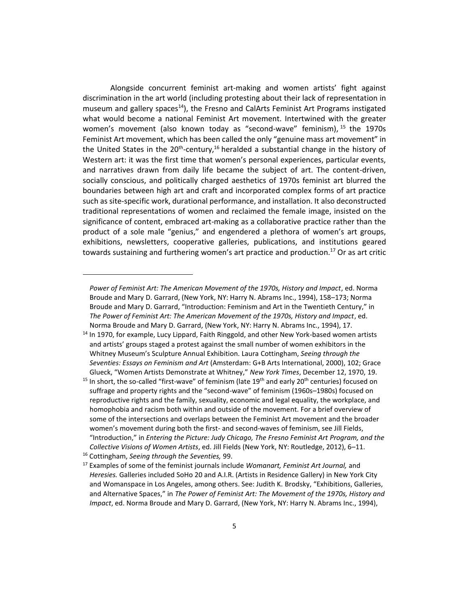Alongside concurrent feminist art-making and women artists' fight against discrimination in the art world (including protesting about their lack of representation in museum and gallery spaces<sup>14</sup>), the Fresno and CalArts Feminist Art Programs instigated what would become a national Feminist Art movement. Intertwined with the greater women's movement (also known today as "second-wave" feminism), <sup>15</sup> the 1970s Feminist Art movement, which has been called the only "genuine mass art movement" in the United States in the 20<sup>th</sup>-century,<sup>16</sup> heralded a substantial change in the history of Western art: it was the first time that women's personal experiences, particular events, and narratives drawn from daily life became the subject of art. The content-driven, socially conscious, and politically charged aesthetics of 1970s feminist art blurred the boundaries between high art and craft and incorporated complex forms of art practice such as site-specific work, durational performance, and installation. It also deconstructed traditional representations of women and reclaimed the female image, insisted on the significance of content, embraced art-making as a collaborative practice rather than the product of a sole male "genius," and engendered a plethora of women's art groups, exhibitions, newsletters, cooperative galleries, publications, and institutions geared towards sustaining and furthering women's art practice and production.<sup>17</sup> Or as art critic

*Power of Feminist Art: The American Movement of the 1970s, History and Impact*, ed. Norma Broude and Mary D. Garrard, (New York, NY: Harry N. Abrams Inc., 1994), 158–173; Norma Broude and Mary D. Garrard, "Introduction: Feminism and Art in the Twentieth Century," in *The Power of Feminist Art: The American Movement of the 1970s, History and Impact*, ed. Norma Broude and Mary D. Garrard, (New York, NY: Harry N. Abrams Inc., 1994), 17.

<sup>&</sup>lt;sup>14</sup> In 1970, for example, Lucy Lippard, Faith Ringgold, and other New York-based women artists and artists' groups staged a protest against the small number of women exhibitors in the Whitney Museum's Sculpture Annual Exhibition. Laura Cottingham, *Seeing through the Seventies: Essays on Feminism and Art* (Amsterdam: G+B Arts International, 2000), 102; Grace Glueck, "Women Artists Demonstrate at Whitney," *New York Times*, December 12, 1970, 19.

<sup>&</sup>lt;sup>15</sup> In short, the so-called "first-wave" of feminism (late  $19<sup>th</sup>$  and early 20<sup>th</sup> centuries) focused on suffrage and property rights and the "second-wave" of feminism (1960s–1980s) focused on reproductive rights and the family, sexuality, economic and legal equality, the workplace, and homophobia and racism both within and outside of the movement. For a brief overview of some of the intersections and overlaps between the Feminist Art movement and the broader women's movement during both the first- and second-waves of feminism, see Jill Fields, "Introduction," in *Entering the Picture: Judy Chicago, The Fresno Feminist Art Program, and the Collective Visions of Women Artists*, ed. Jill Fields (New York, NY: Routledge, 2012), 6–11.

<sup>16</sup> Cottingham, *Seeing through the Seventies,* 99.

<sup>17</sup> Examples of some of the feminist journals include *Womanart, Feminist Art Journal,* and *Heresies.* Galleries included SoHo 20 and A.I.R. (Artists in Residence Gallery) in New York City and Womanspace in Los Angeles, among others. See: Judith K. Brodsky, "Exhibitions, Galleries, and Alternative Spaces," in *The Power of Feminist Art: The Movement of the 1970s, History and Impact*, ed. Norma Broude and Mary D. Garrard, (New York, NY: Harry N. Abrams Inc., 1994),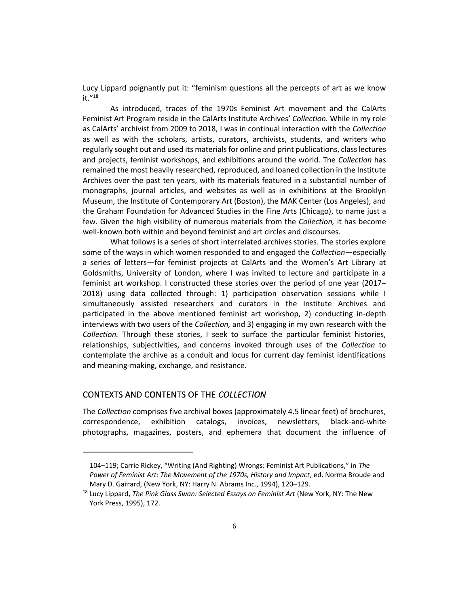Lucy Lippard poignantly put it: "feminism questions all the percepts of art as we know it."<sup>18</sup>

As introduced, traces of the 1970s Feminist Art movement and the CalArts Feminist Art Program reside in the CalArts Institute Archives' *Collection.* While in my role as CalArts' archivist from 2009 to 2018, I was in continual interaction with the *Collection* as well as with the scholars, artists, curators, archivists, students, and writers who regularly sought out and used its materials for online and print publications, class lectures and projects, feminist workshops, and exhibitions around the world. The *Collection* has remained the most heavily researched, reproduced, and loaned collection in the Institute Archives over the past ten years, with its materials featured in a substantial number of monographs, journal articles, and websites as well as in exhibitions at the Brooklyn Museum, the Institute of Contemporary Art (Boston), the MAK Center (Los Angeles), and the Graham Foundation for Advanced Studies in the Fine Arts (Chicago), to name just a few. Given the high visibility of numerous materials from the *Collection,* it has become well-known both within and beyond feminist and art circles and discourses.

What follows is a series of short interrelated archives stories. The stories explore some of the ways in which women responded to and engaged the *Collection—*especially a series of letters—for feminist projects at CalArts and the Women's Art Library at Goldsmiths, University of London, where I was invited to lecture and participate in a feminist art workshop. I constructed these stories over the period of one year (2017– 2018) using data collected through: 1) participation observation sessions while I simultaneously assisted researchers and curators in the Institute Archives and participated in the above mentioned feminist art workshop, 2) conducting in-depth interviews with two users of the *Collection,* and 3) engaging in my own research with the *Collection.* Through these stories, I seek to surface the particular feminist histories, relationships, subjectivities, and concerns invoked through uses of the *Collection* to contemplate the archive as a conduit and locus for current day feminist identifications and meaning-making, exchange, and resistance.

## CONTEXTS AND CONTENTS OF THE *COLLECTION*

The *Collection* comprises five archival boxes (approximately 4.5 linear feet) of brochures, correspondence, exhibition catalogs, invoices, newsletters, black-and-white photographs, magazines, posters, and ephemera that document the influence of

<sup>104</sup>–119; Carrie Rickey, "Writing (And Righting) Wrongs: Feminist Art Publications," in *The Power of Feminist Art: The Movement of the 1970s, History and Impact*, ed. Norma Broude and Mary D. Garrard, (New York, NY: Harry N. Abrams Inc., 1994), 120–129.

<sup>18</sup> Lucy Lippard, *The Pink Glass Swan: Selected Essays on Feminist Art* (New York, NY: The New York Press, 1995), 172.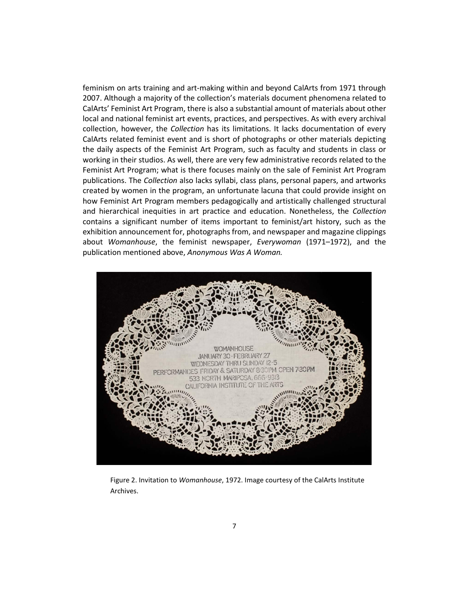feminism on arts training and art-making within and beyond CalArts from 1971 through 2007. Although a majority of the collection's materials document phenomena related to CalArts' Feminist Art Program, there is also a substantial amount of materials about other local and national feminist art events, practices, and perspectives. As with every archival collection, however, the *Collection* has its limitations. It lacks documentation of every CalArts related feminist event and is short of photographs or other materials depicting the daily aspects of the Feminist Art Program, such as faculty and students in class or working in their studios. As well, there are very few administrative records related to the Feminist Art Program; what is there focuses mainly on the sale of Feminist Art Program publications. The *Collection* also lacks syllabi, class plans, personal papers, and artworks created by women in the program, an unfortunate lacuna that could provide insight on how Feminist Art Program members pedagogically and artistically challenged structural and hierarchical inequities in art practice and education. Nonetheless, the *Collection* contains a significant number of items important to feminist/art history, such as the exhibition announcement for, photographs from, and newspaper and magazine clippings about *Womanhouse*, the feminist newspaper, *Everywoman* (1971–1972), and the publication mentioned above, *Anonymous Was A Woman.*



Figure 2. Invitation to *Womanhouse*, 1972. Image courtesy of the CalArts Institute Archives.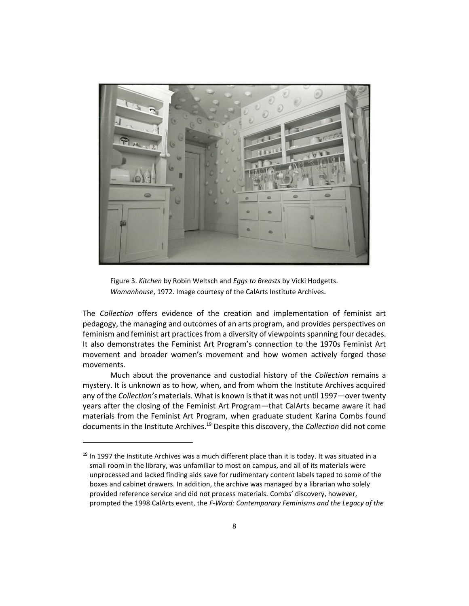

Figure 3. *Kitchen* by Robin Weltsch and *Eggs to Breasts* by Vicki Hodgetts. *Womanhouse*, 1972. Image courtesy of the CalArts Institute Archives.

The *Collection* offers evidence of the creation and implementation of feminist art pedagogy, the managing and outcomes of an arts program, and provides perspectives on feminism and feminist art practices from a diversity of viewpoints spanning four decades. It also demonstrates the Feminist Art Program's connection to the 1970s Feminist Art movement and broader women's movement and how women actively forged those movements.

Much about the provenance and custodial history of the *Collection* remains a mystery. It is unknown as to how, when, and from whom the Institute Archives acquired any of the *Collection's* materials. What is known is that it was not until 1997—over twenty years after the closing of the Feminist Art Program—that CalArts became aware it had materials from the Feminist Art Program, when graduate student Karina Combs found documents in the Institute Archives. <sup>19</sup> Despite this discovery, the *Collection* did not come

 $19$  In 1997 the Institute Archives was a much different place than it is today. It was situated in a small room in the library, was unfamiliar to most on campus, and all of its materials were unprocessed and lacked finding aids save for rudimentary content labels taped to some of the boxes and cabinet drawers. In addition, the archive was managed by a librarian who solely provided reference service and did not process materials. Combs' discovery, however, prompted the 1998 CalArts event, the *F-Word: Contemporary Feminisms and the Legacy of the*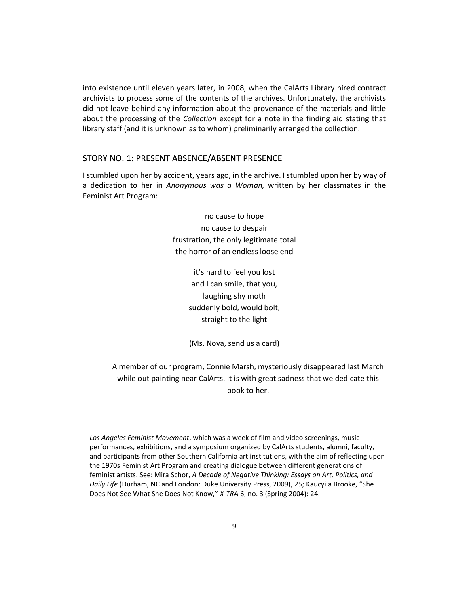into existence until eleven years later, in 2008, when the CalArts Library hired contract archivists to process some of the contents of the archives. Unfortunately, the archivists did not leave behind any information about the provenance of the materials and little about the processing of the *Collection* except for a note in the finding aid stating that library staff (and it is unknown as to whom) preliminarily arranged the collection.

#### STORY NO. 1: PRESENT ABSENCE/ABSENT PRESENCE

I stumbled upon her by accident, years ago, in the archive. I stumbled upon her by way of a dedication to her in *Anonymous was a Woman,* written by her classmates in the Feminist Art Program:

> no cause to hope no cause to despair frustration, the only legitimate total the horror of an endless loose end

> > it's hard to feel you lost and I can smile, that you, laughing shy moth suddenly bold, would bolt, straight to the light

(Ms. Nova, send us a card)

A member of our program, Connie Marsh, mysteriously disappeared last March while out painting near CalArts. It is with great sadness that we dedicate this book to her.

*Los Angeles Feminist Movement*, which was a week of film and video screenings, music performances, exhibitions, and a symposium organized by CalArts students, alumni, faculty, and participants from other Southern California art institutions, with the aim of reflecting upon the 1970s Feminist Art Program and creating dialogue between different generations of feminist artists. See: Mira Schor, *A Decade of Negative Thinking: Essays on Art, Politics, and Daily Life* (Durham, NC and London: Duke University Press, 2009), 25; Kaucyila Brooke, "She Does Not See What She Does Not Know," *X-TRA* 6, no. 3 (Spring 2004): 24.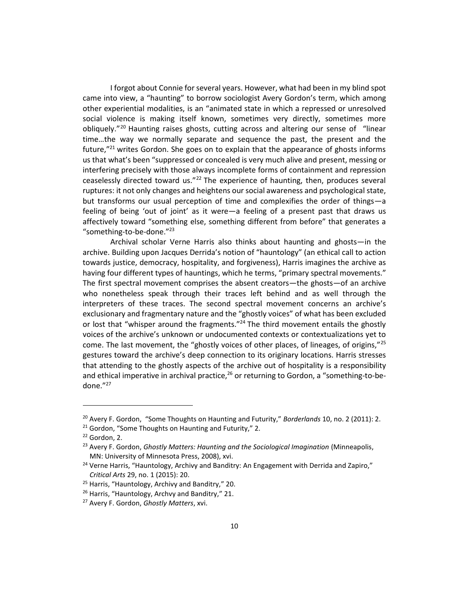I forgot about Connie for several years. However, what had been in my blind spot came into view, a "haunting" to borrow sociologist Avery Gordon's term, which among other experiential modalities, is an "animated state in which a repressed or unresolved social violence is making itself known, sometimes very directly, sometimes more obliquely."<sup>20</sup> Haunting raises ghosts, cutting across and altering our sense of "linear time…the way we normally separate and sequence the past, the present and the future,"<sup>21</sup> writes Gordon. She goes on to explain that the appearance of ghosts informs us that what's been "suppressed or concealed is very much alive and present, messing or interfering precisely with those always incomplete forms of containment and repression ceaselessly directed toward us."<sup>22</sup> The experience of haunting, then, produces several ruptures: it not only changes and heightens our social awareness and psychological state, but transforms our usual perception of time and complexifies the order of things—a feeling of being 'out of joint' as it were—a feeling of a present past that draws us affectively toward "something else, something different from before" that generates a "something-to-be-done."<sup>23</sup>

Archival scholar Verne Harris also thinks about haunting and ghosts—in the archive. Building upon Jacques Derrida's notion of "hauntology" (an ethical call to action towards justice, democracy, hospitality, and forgiveness), Harris imagines the archive as having four different types of hauntings, which he terms, "primary spectral movements." The first spectral movement comprises the absent creators—the ghosts—of an archive who nonetheless speak through their traces left behind and as well through the interpreters of these traces. The second spectral movement concerns an archive's exclusionary and fragmentary nature and the "ghostly voices" of what has been excluded or lost that "whisper around the fragments."<sup>24</sup> The third movement entails the ghostly voices of the archive's unknown or undocumented contexts or contextualizations yet to come. The last movement, the "ghostly voices of other places, of lineages, of origins," $^{25}$ gestures toward the archive's deep connection to its originary locations. Harris stresses that attending to the ghostly aspects of the archive out of hospitality is a responsibility and ethical imperative in archival practice, $26$  or returning to Gordon, a "something-to-bedone."<sup>27</sup>

<sup>20</sup> Avery F. Gordon, "Some Thoughts on Haunting and Futurity," *Borderlands* 10, no. 2 (2011): 2.

<sup>&</sup>lt;sup>21</sup> Gordon, "Some Thoughts on Haunting and Futurity," 2.

 $22$  Gordon, 2.

<sup>23</sup> Avery F. Gordon, *Ghostly Matters: Haunting and the Sociological Imagination* (Minneapolis, MN: University of Minnesota Press, 2008), xvi.

 $24$  Verne Harris, "Hauntology, Archivy and Banditry: An Engagement with Derrida and Zapiro," *Critical Arts* 29, no. 1 (2015): 20.

<sup>&</sup>lt;sup>25</sup> Harris, "Hauntology, Archivy and Banditry," 20.

<sup>&</sup>lt;sup>26</sup> Harris, "Hauntology, Archvy and Banditry," 21.

<sup>27</sup> Avery F. Gordon, *Ghostly Matters*, xvi.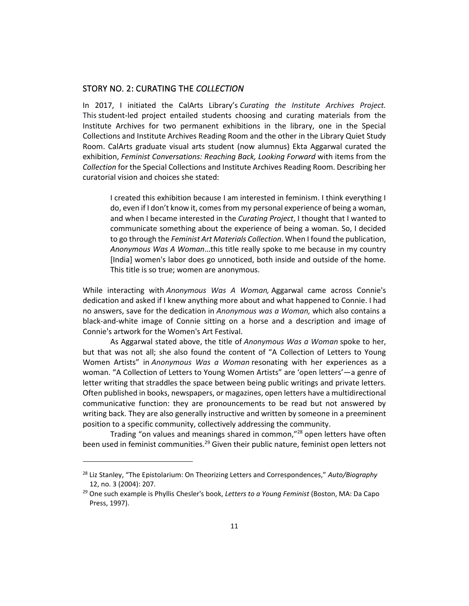## STORY NO. 2: CURATING THE *COLLECTION*

In 2017, I initiated the CalArts Library's *Curating the Institute Archives Project.*  This student-led project entailed students choosing and curating materials from the Institute Archives for two permanent exhibitions in the library, one in the Special Collections and Institute Archives Reading Room and the other in the Library Quiet Study Room. CalArts graduate visual arts student (now alumnus) Ekta Aggarwal curated the exhibition, *Feminist Conversations: Reaching Back, Looking Forward* with items from the *Collection* for the Special Collections and Institute Archives Reading Room. Describing her curatorial vision and choices she stated:

I created this exhibition because I am interested in feminism. I think everything I do, even if I don't know it, comes from my personal experience of being a woman, and when I became interested in the *Curating Project*, I thought that I wanted to communicate something about the experience of being a woman. So, I decided to go through the *Feminist Art Materials Collection*. When I found the publication, *Anonymous Was A Woman*…this title really spoke to me because in my country [India] women's labor does go unnoticed, both inside and outside of the home. This title is so true; women are anonymous.

While interacting with *Anonymous Was A Woman,* Aggarwal came across Connie's dedication and asked if I knew anything more about and what happened to Connie. I had no answers, save for the dedication in *Anonymous was a Woman,* which also contains a black-and-white image of Connie sitting on a horse and a description and image of Connie's artwork for the Women's Art Festival.

As Aggarwal stated above, the title of *Anonymous Was a Woman* spoke to her, but that was not all; she also found the content of "A Collection of Letters to Young Women Artists" in *Anonymous Was a Woman* resonating with her experiences as a woman. "A Collection of Letters to Young Women Artists" are 'open letters'—a genre of letter writing that straddles the space between being public writings and private letters. Often published in books, newspapers, or magazines, open letters have a multidirectional communicative function: they are pronouncements to be read but not answered by writing back. They are also generally instructive and written by someone in a preeminent position to a specific community, collectively addressing the community.

Trading "on values and meanings shared in common,"<sup>28</sup> open letters have often been used in feminist communities.<sup>29</sup> Given their public nature, feminist open letters not

<sup>28</sup> Liz Stanley, "The Epistolarium: On Theorizing Letters and Correspondences," *Auto/Biography* 12, no. 3 (2004): 207.

<sup>29</sup> One such example is Phyllis Chesler's book, *Letters to a Young Feminist* (Boston, MA: Da Capo Press, 1997).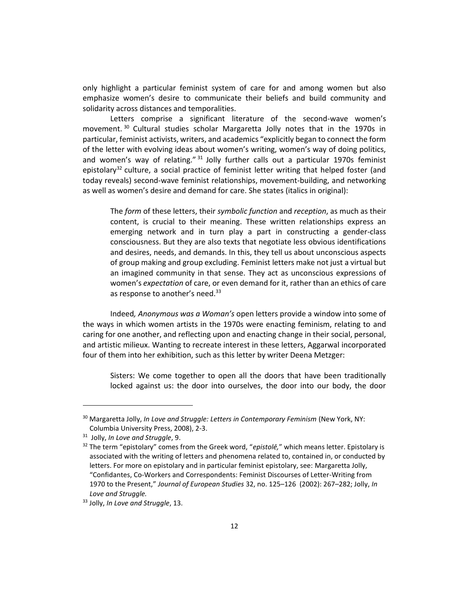only highlight a particular feminist system of care for and among women but also emphasize women's desire to communicate their beliefs and build community and solidarity across distances and temporalities.

Letters comprise a significant literature of the second-wave women's movement. <sup>30</sup> Cultural studies scholar Margaretta Jolly notes that in the 1970s in particular, feminist activists, writers, and academics "explicitly began to connect the form of the letter with evolving ideas about women's writing, women's way of doing politics, and women's way of relating."  $31$  Jolly further calls out a particular 1970s feminist epistolary<sup>32</sup> culture, a social practice of feminist letter writing that helped foster (and today reveals) second-wave feminist relationships, movement-building, and networking as well as women's desire and demand for care. She states (italics in original):

The *form* of these letters, their *symbolic function* and *reception*, as much as their content, is crucial to their meaning. These written relationships express an emerging network and in turn play a part in constructing a gender-class consciousness. But they are also texts that negotiate less obvious identifications and desires, needs, and demands. In this, they tell us about unconscious aspects of group making and group excluding. Feminist letters make not just a virtual but an imagined community in that sense. They act as unconscious expressions of women's *expectation* of care, or even demand for it, rather than an ethics of care as response to another's need.<sup>33</sup>

Indeed*, Anonymous was a Woman's* open letters provide a window into some of the ways in which women artists in the 1970s were enacting feminism, relating to and caring for one another, and reflecting upon and enacting change in their social, personal, and artistic milieux. Wanting to recreate interest in these letters, Aggarwal incorporated four of them into her exhibition, such as this letter by writer Deena Metzger:

Sisters: We come together to open all the doors that have been traditionally locked against us: the door into ourselves, the door into our body, the door

<sup>30</sup> Margaretta Jolly, *In Love and Struggle: Letters in Contemporary Feminism* (New York, NY: Columbia University Press, 2008), 2-3.

<sup>31</sup> Jolly, *In Love and Struggle*, 9.

<sup>32</sup> The term "epistolary" comes from the Greek word, "*epistolē,*" which means letter. Epistolary is associated with the writing of letters and phenomena related to, contained in, or conducted by letters. For more on epistolary and in particular feminist epistolary, see: Margaretta Jolly, "Confidantes, Co-Workers and Correspondents: Feminist Discourses of Letter-Writing from 1970 to the Present," *Journal of European Studies* 32, no. 125–126 (2002): 267–282; Jolly, *In Love and Struggle.*

<sup>33</sup> Jolly, *In Love and Struggle*, 13.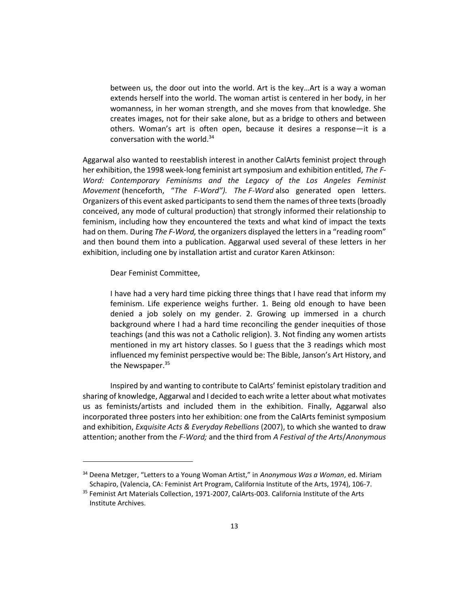between us, the door out into the world. Art is the key…Art is a way a woman extends herself into the world. The woman artist is centered in her body, in her womanness, in her woman strength, and she moves from that knowledge. She creates images, not for their sake alone, but as a bridge to others and between others. Woman's art is often open, because it desires a response—it is a conversation with the world.<sup>34</sup>

Aggarwal also wanted to reestablish interest in another CalArts feminist project through her exhibition, the 1998 week-long feminist art symposium and exhibition entitled, *The F-Word: Contemporary Feminisms and the Legacy of the Los Angeles Feminist Movement* (henceforth, "*The F-Word"). The F-Word* also generated open letters. Organizers of this event asked participants to send them the names of three texts (broadly conceived, any mode of cultural production) that strongly informed their relationship to feminism, including how they encountered the texts and what kind of impact the texts had on them. During *The F-Word,* the organizers displayed the letters in a "reading room" and then bound them into a publication. Aggarwal used several of these letters in her exhibition, including one by installation artist and curator Karen Atkinson:

Dear Feminist Committee,

I have had a very hard time picking three things that I have read that inform my feminism. Life experience weighs further. 1. Being old enough to have been denied a job solely on my gender. 2. Growing up immersed in a church background where I had a hard time reconciling the gender inequities of those teachings (and this was not a Catholic religion). 3. Not finding any women artists mentioned in my art history classes. So I guess that the 3 readings which most influenced my feminist perspective would be: The Bible, Janson's Art History, and the Newspaper.<sup>35</sup>

Inspired by and wanting to contribute to CalArts' feminist epistolary tradition and sharing of knowledge, Aggarwal and I decided to each write a letter about what motivates us as feminists/artists and included them in the exhibition. Finally, Aggarwal also incorporated three posters into her exhibition: one from the CalArts feminist symposium and exhibition, *Exquisite Acts & Everyday Rebellions* (2007), to which she wanted to draw attention; another from the *F-Word;* and the third from *A Festival of the Arts*/*Anonymous* 

<sup>34</sup> Deena Metzger, "Letters to a Young Woman Artist," in *Anonymous Was a Woman*, ed. Miriam Schapiro, (Valencia, CA: Feminist Art Program, California Institute of the Arts, 1974), 106-7.

<sup>&</sup>lt;sup>35</sup> Feminist Art Materials Collection, 1971-2007, CalArts-003. California Institute of the Arts Institute Archives.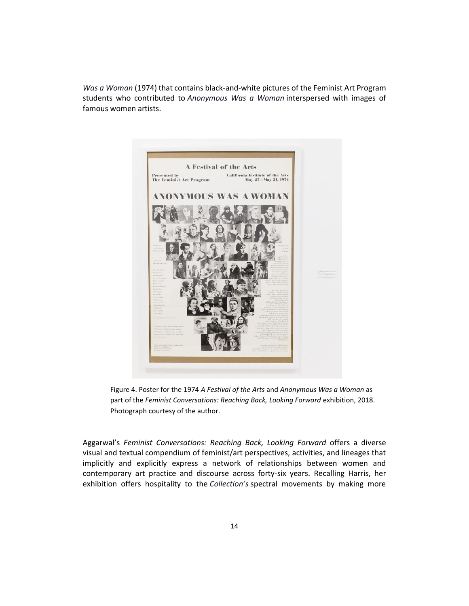*Was a Woman* (1974) that contains black-and-white pictures of the Feminist Art Program students who contributed to *Anonymous Was a Woman* interspersed with images of famous women artists.



Figure 4. Poster for the 1974 *A Festival of the Arts* and *Anonymous Was a Woman* as part of the *Feminist Conversations: Reaching Back, Looking Forward* exhibition, 2018. Photograph courtesy of the author.

Aggarwal's *Feminist Conversations: Reaching Back, Looking Forward* offers a diverse visual and textual compendium of feminist/art perspectives, activities, and lineages that implicitly and explicitly express a network of relationships between women and contemporary art practice and discourse across forty-six years. Recalling Harris, her exhibition offers hospitality to the *Collection's* spectral movements by making more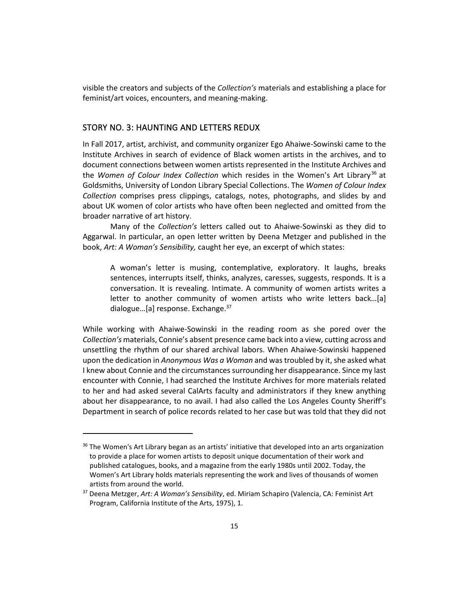visible the creators and subjects of the *Collection's* materials and establishing a place for feminist/art voices, encounters, and meaning-making.

## STORY NO. 3: HAUNTING AND LETTERS REDUX

In Fall 2017, artist, archivist, and community organizer Ego Ahaiwe-Sowinski came to the Institute Archives in search of evidence of Black women artists in the archives, and to document connections between women artists represented in the Institute Archives and the *Women of Colour Index Collection* which resides in the Women's Art Library<sup>36</sup> at Goldsmiths, University of London Library Special Collections. The *Women of Colour Index Collection* comprises press clippings, catalogs, notes, photographs, and slides by and about UK women of color artists who have often been neglected and omitted from the broader narrative of art history.

Many of the *Collection's* letters called out to Ahaiwe-Sowinski as they did to Aggarwal. In particular, an open letter written by Deena Metzger and published in the book, *Art: A Woman's Sensibility,* caught her eye, an excerpt of which states:

A woman's letter is musing, contemplative, exploratory. It laughs, breaks sentences, interrupts itself, thinks, analyzes, caresses, suggests, responds. It is a conversation. It is revealing. Intimate. A community of women artists writes a letter to another community of women artists who write letters back…[a] dialogue...[a] response. Exchange.<sup>37</sup>

While working with Ahaiwe-Sowinski in the reading room as she pored over the *Collection's* materials, Connie's absent presence came back into a view, cutting across and unsettling the rhythm of our shared archival labors. When Ahaiwe-Sowinski happened upon the dedication in *Anonymous Was a Woman* and was troubled by it, she asked what I knew about Connie and the circumstances surrounding her disappearance. Since my last encounter with Connie, I had searched the Institute Archives for more materials related to her and had asked several CalArts faculty and administrators if they knew anything about her disappearance, to no avail. I had also called the Los Angeles County Sheriff's Department in search of police records related to her case but was told that they did not

<sup>&</sup>lt;sup>36</sup> The Women's Art Library began as an artists' initiative that developed into an arts organization to provide a place for women artists to deposit unique documentation of their work and published catalogues, books, and a magazine from the early 1980s until 2002. Today, the Women's Art Library holds materials representing the work and lives of thousands of women artists from around the world.

<sup>37</sup> Deena Metzger, *Art: A Woman's Sensibility*, ed. Miriam Schapiro (Valencia, CA: Feminist Art Program, California Institute of the Arts, 1975), 1.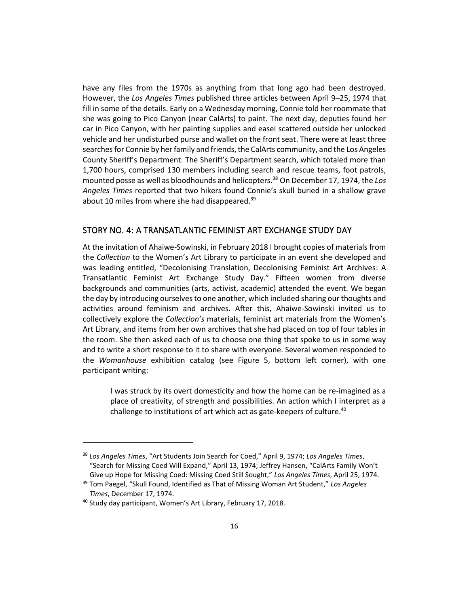have any files from the 1970s as anything from that long ago had been destroyed. However, the *Los Angeles Times* published three articles between April 9–25, 1974 that fill in some of the details. Early on a Wednesday morning, Connie told her roommate that she was going to Pico Canyon (near CalArts) to paint. The next day, deputies found her car in Pico Canyon, with her painting supplies and easel scattered outside her unlocked vehicle and her undisturbed purse and wallet on the front seat. There were at least three searches for Connie by her family and friends, the CalArts community, and the Los Angeles County Sheriff's Department. The Sheriff's Department search, which totaled more than 1,700 hours, comprised 130 members including search and rescue teams, foot patrols, mounted posse as well as bloodhounds and helicopters.<sup>38</sup> On December 17, 1974, the *Los Angeles Times* reported that two hikers found Connie's skull buried in a shallow grave about 10 miles from where she had disappeared.<sup>39</sup>

## STORY NO. 4: A TRANSATLANTIC FEMINIST ART EXCHANGE STUDY DAY

At the invitation of Ahaiwe-Sowinski, in February 2018 I brought copies of materials from the *Collection* to the Women's Art Library to participate in an event she developed and was leading entitled, "Decolonising Translation, Decolonising Feminist Art Archives: A Transatlantic Feminist Art Exchange Study Day." Fifteen women from diverse backgrounds and communities (arts, activist, academic) attended the event. We began the day by introducing ourselves to one another, which included sharing our thoughts and activities around feminism and archives. After this, Ahaiwe-Sowinski invited us to collectively explore the *Collection's* materials, feminist art materials from the Women's Art Library, and items from her own archives that she had placed on top of four tables in the room. She then asked each of us to choose one thing that spoke to us in some way and to write a short response to it to share with everyone. Several women responded to the *Womanhouse* exhibition catalog (see Figure 5, bottom left corner), with one participant writing:

I was struck by its overt domesticity and how the home can be re-imagined as a place of creativity, of strength and possibilities. An action which I interpret as a challenge to institutions of art which act as gate-keepers of culture.<sup>40</sup>

<sup>38</sup> *Los Angeles Times*, "Art Students Join Search for Coed," April 9, 1974; *Los Angeles Times*, "Search for Missing Coed Will Expand," April 13, 1974; Jeffrey Hansen, "CalArts Family Won't Give up Hope for Missing Coed: Missing Coed Still Sought," *Los Angeles Times*, April 25, 1974.

<sup>39</sup> Tom Paegel, "Skull Found, Identified as That of Missing Woman Art Student," *Los Angeles Times*, December 17, 1974.

<sup>40</sup> Study day participant, Women's Art Library, February 17, 2018.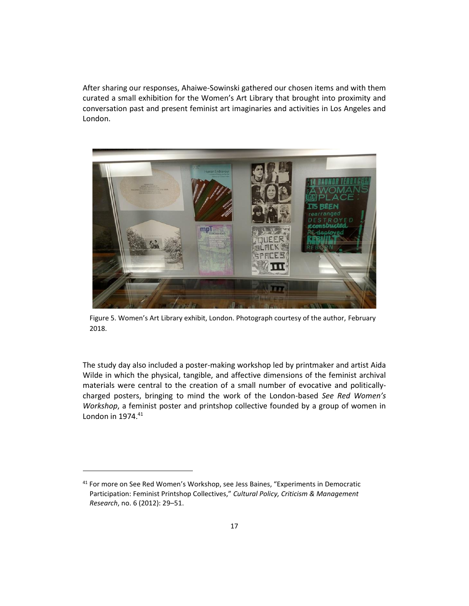After sharing our responses, Ahaiwe-Sowinski gathered our chosen items and with them curated a small exhibition for the Women's Art Library that brought into proximity and conversation past and present feminist art imaginaries and activities in Los Angeles and London.



Figure 5. Women's Art Library exhibit, London. Photograph courtesy of the author, February 2018.

The study day also included a poster-making workshop led by printmaker and artist Aida Wilde in which the physical, tangible, and affective dimensions of the feminist archival materials were central to the creation of a small number of evocative and politicallycharged posters, bringing to mind the work of the London-based *See Red Women's Workshop*, a feminist poster and printshop collective founded by a group of women in London in 1974.<sup>41</sup>

<sup>&</sup>lt;sup>41</sup> For more on See Red Women's Workshop, see Jess Baines, "Experiments in Democratic Participation: Feminist Printshop Collectives," *Cultural Policy, Criticism & Management Research*, no. 6 (2012): 29–51.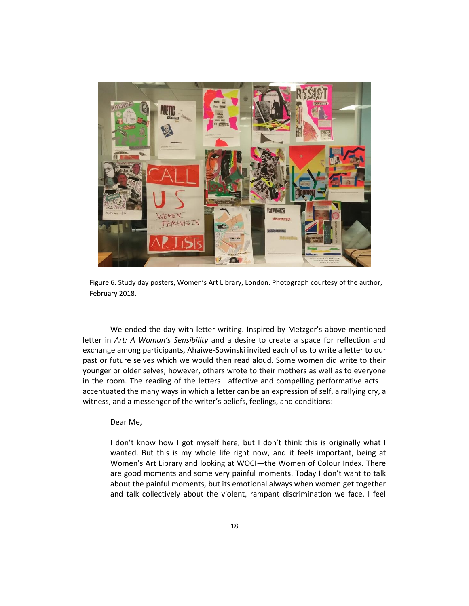

Figure 6. Study day posters, Women's Art Library, London. Photograph courtesy of the author, February 2018.

We ended the day with letter writing. Inspired by Metzger's above-mentioned letter in *Art: A Woman's Sensibility* and a desire to create a space for reflection and exchange among participants, Ahaiwe-Sowinski invited each of us to write a letter to our past or future selves which we would then read aloud. Some women did write to their younger or older selves; however, others wrote to their mothers as well as to everyone in the room. The reading of the letters—affective and compelling performative acts accentuated the many ways in which a letter can be an expression of self, a rallying cry, a witness, and a messenger of the writer's beliefs, feelings, and conditions:

#### Dear Me,

I don't know how I got myself here, but I don't think this is originally what I wanted. But this is my whole life right now, and it feels important, being at Women's Art Library and looking at WOCI—the Women of Colour Index. There are good moments and some very painful moments. Today I don't want to talk about the painful moments, but its emotional always when women get together and talk collectively about the violent, rampant discrimination we face. I feel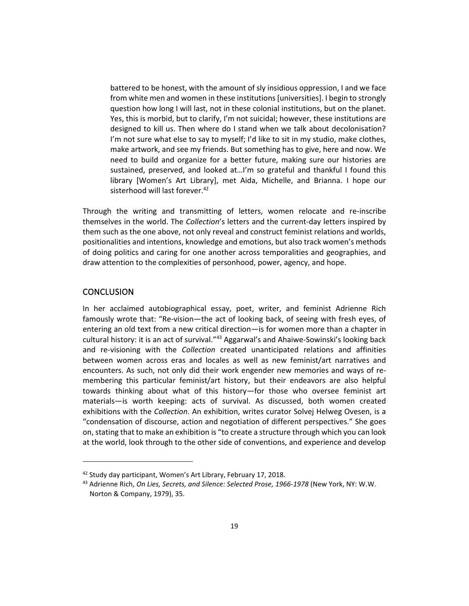battered to be honest, with the amount of sly insidious oppression, I and we face from white men and women in these institutions [universities]. I begin to strongly question how long I will last, not in these colonial institutions, but on the planet. Yes, this is morbid, but to clarify, I'm not suicidal; however, these institutions are designed to kill us. Then where do I stand when we talk about decolonisation? I'm not sure what else to say to myself; I'd like to sit in my studio, make clothes, make artwork, and see my friends. But something has to give, here and now. We need to build and organize for a better future, making sure our histories are sustained, preserved, and looked at…I'm so grateful and thankful I found this library [Women's Art Library], met Aida, Michelle, and Brianna. I hope our sisterhood will last forever.<sup>42</sup>

Through the writing and transmitting of letters, women relocate and re-inscribe themselves in the world. The *Collection*'s letters and the current-day letters inspired by them such as the one above, not only reveal and construct feminist relations and worlds, positionalities and intentions, knowledge and emotions, but also track women's methods of doing politics and caring for one another across temporalities and geographies, and draw attention to the complexities of personhood, power, agency, and hope.

## **CONCLUSION**

In her acclaimed autobiographical essay, poet, writer, and feminist Adrienne Rich famously wrote that: "Re-vision—the act of looking back, of seeing with fresh eyes, of entering an old text from a new critical direction—is for women more than a chapter in cultural history: it is an act of survival."<sup>43</sup> Aggarwal's and Ahaiwe-Sowinski's looking back and re-visioning with the *Collection* created unanticipated relations and affinities between women across eras and locales as well as new feminist/art narratives and encounters. As such, not only did their work engender new memories and ways of remembering this particular feminist/art history, but their endeavors are also helpful towards thinking about what of this history—for those who oversee feminist art materials—is worth keeping: acts of survival. As discussed, both women created exhibitions with the *Collection*. An exhibition, writes curator Solvej Helweg Ovesen, is a "condensation of discourse, action and negotiation of different perspectives." She goes on, stating that to make an exhibition is "to create a structure through which you can look at the world, look through to the other side of conventions, and experience and develop

<sup>&</sup>lt;sup>42</sup> Study day participant, Women's Art Library, February 17, 2018.

<sup>43</sup> Adrienne Rich, *On Lies, Secrets, and Silence: Selected Prose, 1966-1978* (New York, NY: W.W. Norton & Company, 1979), 35.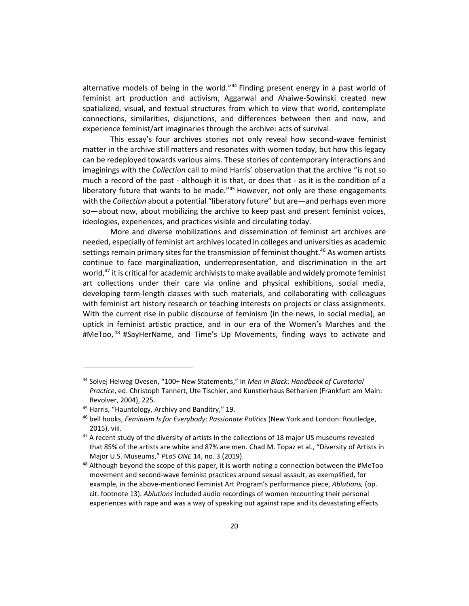alternative models of being in the world."<sup>44</sup> Finding present energy in a past world of feminist art production and activism, Aggarwal and Ahaiwe-Sowinski created new spatialized, visual, and textual structures from which to view that world, contemplate connections, similarities, disjunctions, and differences between then and now, and experience feminist/art imaginaries through the archive: acts of survival.

This essay's four archives stories not only reveal how second-wave feminist matter in the archive still matters and resonates with women today, but how this legacy can be redeployed towards various aims. These stories of contemporary interactions and imaginings with the *Collection* call to mind Harris' observation that the archive "is not so much a record of the past - although it is that, or does that - as it is the condition of a liberatory future that wants to be made. $145$  However, not only are these engagements with the *Collection* about a potential "liberatory future" but are—and perhaps even more so—about now, about mobilizing the archive to keep past and present feminist voices, ideologies, experiences, and practices visible and circulating today.

More and diverse mobilizations and dissemination of feminist art archives are needed, especially of feminist art archives located in colleges and universities as academic settings remain primary sites for the transmission of feminist thought.<sup>46</sup> As women artists continue to face marginalization, underrepresentation, and discrimination in the art world, $47$  it is critical for academic archivists to make available and widely promote feminist art collections under their care via online and physical exhibitions, social media, developing term-length classes with such materials, and collaborating with colleagues with feminist art history research or teaching interests on projects or class assignments. With the current rise in public discourse of feminism (in the news, in social media), an uptick in feminist artistic practice, and in our era of the Women's Marches and the #MeToo,<sup>48</sup> #SayHerName, and Time's Up Movements, finding ways to activate and

<sup>44</sup> Solvej Helweg Ovesen, "100+ New Statements," in *Men in Black: Handbook of Curatorial Practice*, ed. Christoph Tannert, Ute Tischler, and Kunstlerhaus Bethanien (Frankfurt am Main: Revolver, 2004), 225.

<sup>45</sup> Harris, "Hauntology, Archivy and Banditry," 19.

<sup>46</sup> bell hooks, *Feminism Is for Everybody: Passionate Politics* (New York and London: Routledge, 2015), viii.

<sup>&</sup>lt;sup>47</sup> A recent study of the diversity of artists in the collections of 18 major US museums revealed that 85% of the artists are white and 87% are men. Chad M. Topaz et al., "Diversity of Artists in Major U.S. Museums," *PLoS ONE* 14, no. 3 (2019).

 $48$  Although beyond the scope of this paper, it is worth noting a connection between the #MeToo movement and second-wave feminist practices around sexual assault, as exemplified, for example, in the above-mentioned Feminist Art Program's performance piece, *Ablutions,* (op. cit. footnote 13). *Ablutions* included audio recordings of women recounting their personal experiences with rape and was a way of speaking out against rape and its devastating effects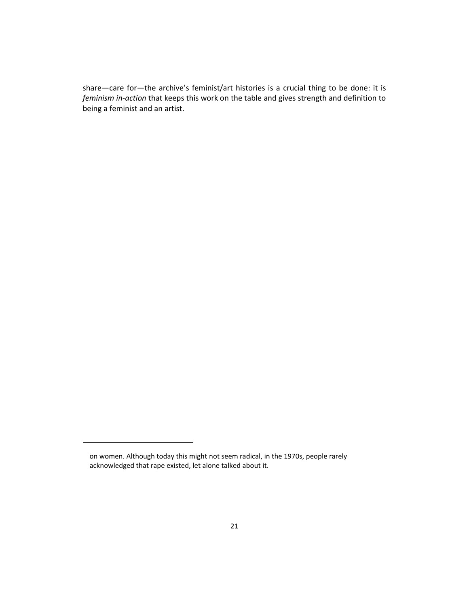share—care for—the archive's feminist/art histories is a crucial thing to be done: it is *feminism in-action* that keeps this work on the table and gives strength and definition to being a feminist and an artist.

on women. Although today this might not seem radical, in the 1970s, people rarely acknowledged that rape existed, let alone talked about it.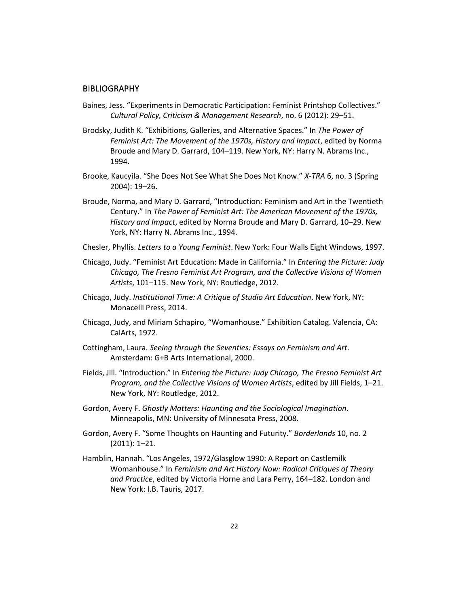#### **BIBLIOGRAPHY**

- Baines, Jess. "Experiments in Democratic Participation: Feminist Printshop Collectives." *Cultural Policy, Criticism & Management Research*, no. 6 (2012): 29–51.
- Brodsky, Judith K. "Exhibitions, Galleries, and Alternative Spaces." In *The Power of Feminist Art: The Movement of the 1970s, History and Impact*, edited by Norma Broude and Mary D. Garrard, 104–119. New York, NY: Harry N. Abrams Inc., 1994.
- Brooke, Kaucyila. "She Does Not See What She Does Not Know." *X-TRA* 6, no. 3 (Spring 2004): 19–26.
- Broude, Norma, and Mary D. Garrard, "Introduction: Feminism and Art in the Twentieth Century." In *The Power of Feminist Art: The American Movement of the 1970s, History and Impact*, edited by Norma Broude and Mary D. Garrard, 10–29. New York, NY: Harry N. Abrams Inc., 1994.
- Chesler, Phyllis. *Letters to a Young Feminist*. New York: Four Walls Eight Windows, 1997.
- Chicago, Judy. "Feminist Art Education: Made in California." In *Entering the Picture: Judy Chicago, The Fresno Feminist Art Program, and the Collective Visions of Women Artists*, 101–115. New York, NY: Routledge, 2012.
- Chicago, Judy. *Institutional Time: A Critique of Studio Art Education*. New York, NY: Monacelli Press, 2014.
- Chicago, Judy, and Miriam Schapiro, "Womanhouse." Exhibition Catalog. Valencia, CA: CalArts, 1972.
- Cottingham, Laura. *Seeing through the Seventies: Essays on Feminism and Art*. Amsterdam: G+B Arts International, 2000.
- Fields, Jill. "Introduction." In *Entering the Picture: Judy Chicago, The Fresno Feminist Art Program, and the Collective Visions of Women Artists*, edited by Jill Fields, 1–21. New York, NY: Routledge, 2012.
- Gordon, Avery F. *Ghostly Matters: Haunting and the Sociological Imagination*. Minneapolis, MN: University of Minnesota Press, 2008.
- Gordon, Avery F. "Some Thoughts on Haunting and Futurity." *Borderlands* 10, no. 2 (2011): 1–21.
- Hamblin, Hannah. "Los Angeles, 1972/Glasglow 1990: A Report on Castlemilk Womanhouse." In *Feminism and Art History Now: Radical Critiques of Theory and Practice*, edited by Victoria Horne and Lara Perry, 164–182. London and New York: I.B. Tauris, 2017.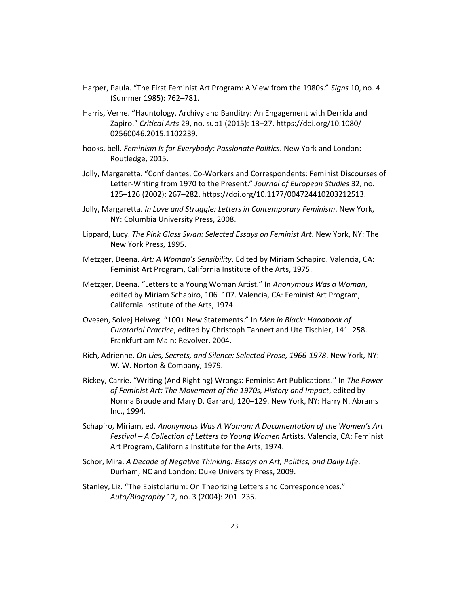- Harper, Paula. "The First Feminist Art Program: A View from the 1980s." *Signs* 10, no. 4 (Summer 1985): 762–781.
- Harris, Verne. "Hauntology, Archivy and Banditry: An Engagement with Derrida and Zapiro." *Critical Arts* 29, no. sup1 (2015): 13–27. https://doi.org/10.1080/ 02560046.2015.1102239.
- hooks, bell. *Feminism Is for Everybody: Passionate Politics*. New York and London: Routledge, 2015.
- Jolly, Margaretta. "Confidantes, Co-Workers and Correspondents: Feminist Discourses of Letter-Writing from 1970 to the Present." *Journal of European Studies* 32, no. 125–126 (2002): 267–282. https://doi.org/10.1177/004724410203212513.
- Jolly, Margaretta. *In Love and Struggle: Letters in Contemporary Feminism*. New York, NY: Columbia University Press, 2008.
- Lippard, Lucy. *The Pink Glass Swan: Selected Essays on Feminist Art*. New York, NY: The New York Press, 1995.
- Metzger, Deena. *Art: A Woman's Sensibility*. Edited by Miriam Schapiro. Valencia, CA: Feminist Art Program, California Institute of the Arts, 1975.
- Metzger, Deena. "Letters to a Young Woman Artist." In *Anonymous Was a Woman*, edited by Miriam Schapiro, 106–107. Valencia, CA: Feminist Art Program, California Institute of the Arts, 1974.
- Ovesen, Solvej Helweg. "100+ New Statements." In *Men in Black: Handbook of Curatorial Practice*, edited by Christoph Tannert and Ute Tischler, 141–258. Frankfurt am Main: Revolver, 2004.
- Rich, Adrienne. *On Lies, Secrets, and Silence: Selected Prose, 1966-1978*. New York, NY: W. W. Norton & Company, 1979.
- Rickey, Carrie. "Writing (And Righting) Wrongs: Feminist Art Publications." In *The Power of Feminist Art: The Movement of the 1970s, History and Impact*, edited by Norma Broude and Mary D. Garrard, 120–129. New York, NY: Harry N. Abrams Inc., 1994.
- Schapiro, Miriam, ed. *Anonymous Was A Woman: A Documentation of the Women's Art Festival – A Collection of Letters to Young Women* Artists. Valencia, CA: Feminist Art Program, California Institute for the Arts, 1974.
- Schor, Mira. *A Decade of Negative Thinking: Essays on Art, Politics, and Daily Life*. Durham, NC and London: Duke University Press, 2009.
- Stanley, Liz. "The Epistolarium: On Theorizing Letters and Correspondences." *Auto/Biography* 12, no. 3 (2004): 201–235.